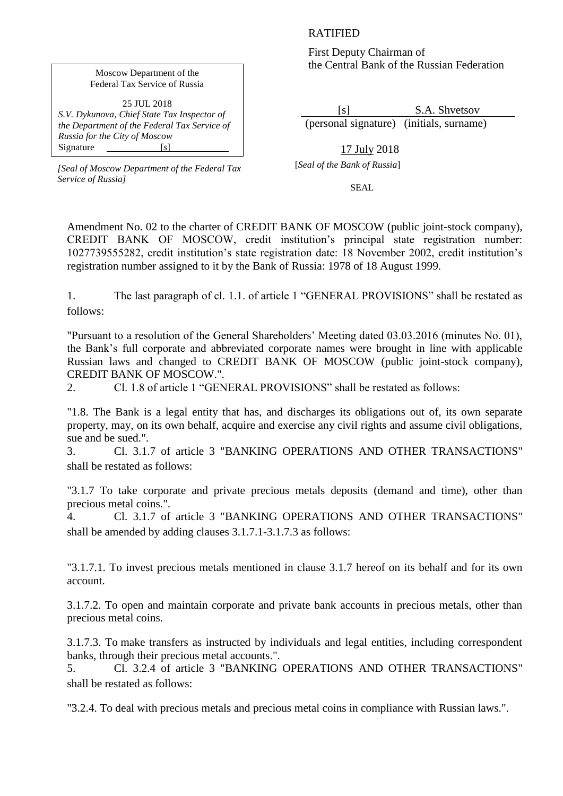## RATIFIED

First Deputy Chairman of the Central Bank of the Russian Federation

 [s] S.A. Shvetsov (personal signature) (initials, surname)

 17 July 2018 [*Seal of the Bank of Russia*]

SEAL

Amendment No. 02 to the charter of CREDIT BANK OF MOSCOW (public joint-stock company), CREDIT BANK OF MOSCOW, credit institution's principal state registration number: 1027739555282, credit institution's state registration date: 18 November 2002, credit institution's registration number assigned to it by the Bank of Russia: 1978 of 18 August 1999.

1. The last paragraph of cl. 1.1. of article 1 "GENERAL PROVISIONS" shall be restated as follows:

"Pursuant to a resolution of the General Shareholders' Meeting dated 03.03.2016 (minutes No. 01), the Bank's full corporate and abbreviated corporate names were brought in line with applicable Russian laws and changed to CREDIT BANK OF MOSCOW (public joint-stock company), CREDIT BANK OF MOSCOW.".

2. Cl. 1.8 of article 1 "GENERAL PROVISIONS" shall be restated as follows:

"1.8. The Bank is a legal entity that has, and discharges its obligations out of, its own separate property, may, on its own behalf, acquire and exercise any civil rights and assume civil obligations, sue and be sued.".

3. Cl. 3.1.7 of article 3 "BANKING OPERATIONS AND OTHER TRANSACTIONS" shall be restated as follows:

"3.1.7 To take corporate and private precious metals deposits (demand and time), other than precious metal coins.".

4. Cl. 3.1.7 of article 3 "BANKING OPERATIONS AND OTHER TRANSACTIONS" shall be amended by adding clauses 3.1.7.1-3.1.7.3 as follows:

"3.1.7.1. To invest precious metals mentioned in clause 3.1.7 hereof on its behalf and for its own account.

3.1.7.2. To open and maintain corporate and private bank accounts in precious metals, other than precious metal coins.

3.1.7.3. To make transfers as instructed by individuals and legal entities, including correspondent banks, through their precious metal accounts.".

5. Cl. 3.2.4 of article 3 "BANKING OPERATIONS AND OTHER TRANSACTIONS" shall be restated as follows:

"3.2.4. To deal with precious metals and precious metal coins in compliance with Russian laws.".

## Moscow Department of the Federal Tax Service of Russia

25 JUL 2018 *S.V. Dykunova, Chief State Tax Inspector of the Department of the Federal Tax Service of Russia for the City of Moscow* Signature [*s*]

*[Seal of Moscow Department of the Federal Tax Service of Russia]*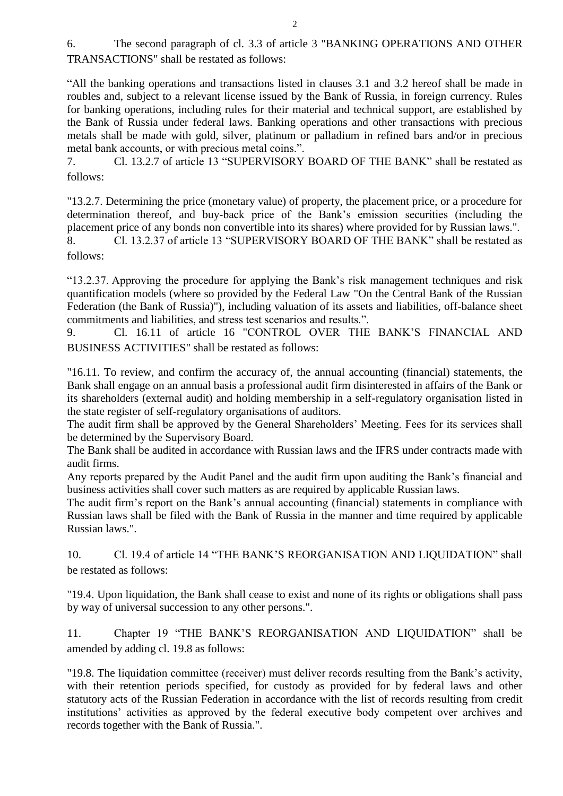6. The second paragraph of cl. 3.3 of article 3 "BANKING OPERATIONS AND OTHER TRANSACTIONS" shall be restated as follows:

"All the banking operations and transactions listed in clauses 3.1 and 3.2 hereof shall be made in roubles and, subject to a relevant license issued by the Bank of Russia, in foreign currency. Rules for banking operations, including rules for their material and technical support, are established by the Bank of Russia under federal laws. Banking operations and other transactions with precious metals shall be made with gold, silver, platinum or palladium in refined bars and/or in precious metal bank accounts, or with precious metal coins.".

7. Cl. 13.2.7 of article 13 "SUPERVISORY BOARD OF THE BANK" shall be restated as follows:

"13.2.7. Determining the price (monetary value) of property, the placement price, or a procedure for determination thereof, and buy-back price of the Bank's emission securities (including the placement price of any bonds non convertible into its shares) where provided for by Russian laws.". 8. Cl. 13.2.37 of article 13 "SUPERVISORY BOARD OF THE BANK" shall be restated as

follows:

"13.2.37. Approving the procedure for applying the Bank's risk management techniques and risk quantification models (where so provided by the Federal Law "On the Central Bank of the Russian Federation (the Bank of Russia)"), including valuation of its assets and liabilities, off-balance sheet commitments and liabilities, and stress test scenarios and results.".

9. Cl. 16.11 of article 16 "CONTROL OVER THE BANK'S FINANCIAL AND BUSINESS ACTIVITIES" shall be restated as follows:

"16.11. To review, and confirm the accuracy of, the annual accounting (financial) statements, the Bank shall engage on an annual basis a professional audit firm disinterested in affairs of the Bank or its shareholders (external audit) and holding membership in a self-regulatory organisation listed in the state register of self-regulatory organisations of auditors.

The audit firm shall be approved by the General Shareholders' Meeting. Fees for its services shall be determined by the Supervisory Board.

The Bank shall be audited in accordance with Russian laws and the IFRS under contracts made with audit firms.

Any reports prepared by the Audit Panel and the audit firm upon auditing the Bank's financial and business activities shall cover such matters as are required by applicable Russian laws.

The audit firm's report on the Bank's annual accounting (financial) statements in compliance with Russian laws shall be filed with the Bank of Russia in the manner and time required by applicable Russian laws.".

10. Cl. 19.4 of article 14 "THE BANK'S REORGANISATION AND LIQUIDATION" shall be restated as follows:

"19.4. Upon liquidation, the Bank shall cease to exist and none of its rights or obligations shall pass by way of universal succession to any other persons.".

11. Chapter 19 "THE BANK'S REORGANISATION AND LIQUIDATION" shall be amended by adding cl. 19.8 as follows:

"19.8. The liquidation committee (receiver) must deliver records resulting from the Bank's activity, with their retention periods specified, for custody as provided for by federal laws and other statutory acts of the Russian Federation in accordance with the list of records resulting from credit institutions' activities as approved by the federal executive body competent over archives and records together with the Bank of Russia.".